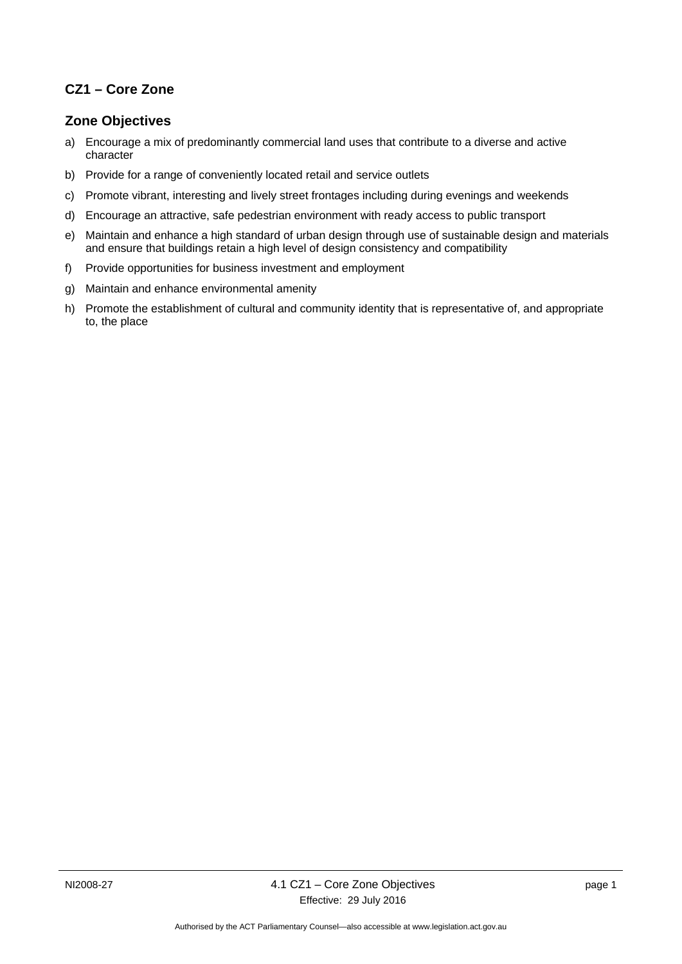## **CZ1 – Core Zone**

### **Zone Objectives**

- a) Encourage a mix of predominantly commercial land uses that contribute to a diverse and active character
- b) Provide for a range of conveniently located retail and service outlets
- c) Promote vibrant, interesting and lively street frontages including during evenings and weekends
- d) Encourage an attractive, safe pedestrian environment with ready access to public transport
- e) Maintain and enhance a high standard of urban design through use of sustainable design and materials and ensure that buildings retain a high level of design consistency and compatibility
- f) Provide opportunities for business investment and employment
- g) Maintain and enhance environmental amenity
- h) Promote the establishment of cultural and community identity that is representative of, and appropriate to, the place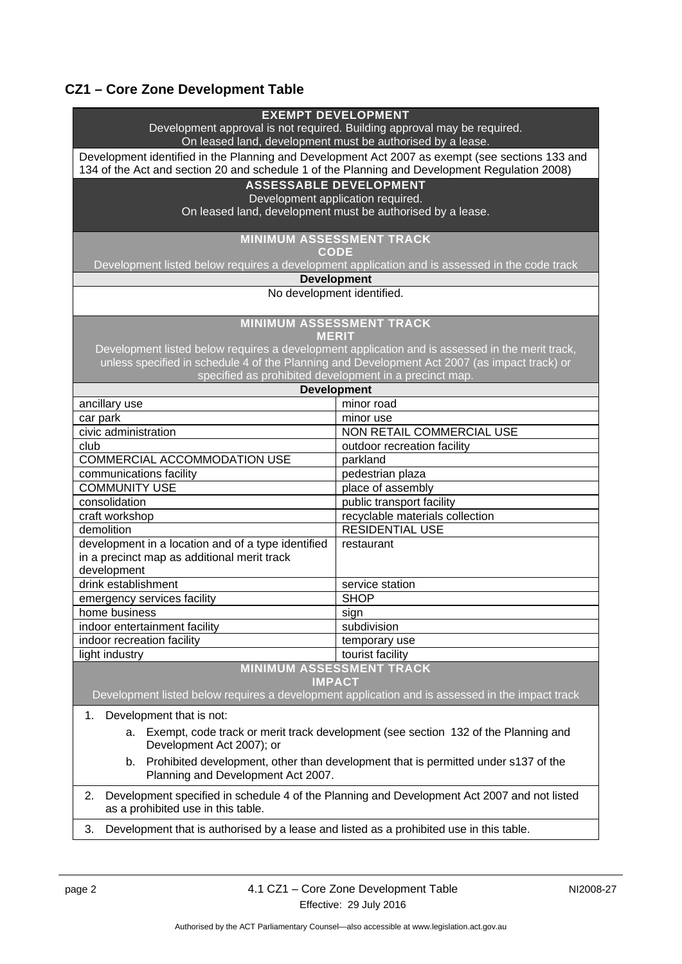# **CZ1 – Core Zone Development Table**

| <b>EXEMPT DEVELOPMENT</b>                                                                                                              |                                                                                                 |
|----------------------------------------------------------------------------------------------------------------------------------------|-------------------------------------------------------------------------------------------------|
| Development approval is not required. Building approval may be required.<br>On leased land, development must be authorised by a lease. |                                                                                                 |
| Development identified in the Planning and Development Act 2007 as exempt (see sections 133 and                                        |                                                                                                 |
| 134 of the Act and section 20 and schedule 1 of the Planning and Development Regulation 2008)                                          |                                                                                                 |
| <b>ASSESSABLE DEVELOPMENT</b>                                                                                                          |                                                                                                 |
| Development application required.                                                                                                      |                                                                                                 |
|                                                                                                                                        | On leased land, development must be authorised by a lease.                                      |
|                                                                                                                                        |                                                                                                 |
| <b>MINIMUM ASSESSMENT TRACK</b><br><b>CODE</b>                                                                                         |                                                                                                 |
| Development listed below requires a development application and is assessed in the code track                                          |                                                                                                 |
| <b>Development</b>                                                                                                                     |                                                                                                 |
| No development identified.                                                                                                             |                                                                                                 |
|                                                                                                                                        |                                                                                                 |
|                                                                                                                                        | <b>MINIMUM ASSESSMENT TRACK</b>                                                                 |
| <b>MERIT</b>                                                                                                                           |                                                                                                 |
|                                                                                                                                        | Development listed below requires a development application and is assessed in the merit track, |
|                                                                                                                                        | unless specified in schedule 4 of the Planning and Development Act 2007 (as impact track) or    |
| specified as prohibited development in a precinct map.<br><b>Development</b>                                                           |                                                                                                 |
|                                                                                                                                        | minor road                                                                                      |
| ancillary use                                                                                                                          | minor use                                                                                       |
| car park<br>civic administration                                                                                                       | NON RETAIL COMMERCIAL USE                                                                       |
| club                                                                                                                                   | outdoor recreation facility                                                                     |
| COMMERCIAL ACCOMMODATION USE                                                                                                           | parkland                                                                                        |
| communications facility                                                                                                                | pedestrian plaza                                                                                |
| <b>COMMUNITY USE</b>                                                                                                                   | place of assembly                                                                               |
| consolidation                                                                                                                          | public transport facility                                                                       |
| craft workshop                                                                                                                         | recyclable materials collection                                                                 |
| demolition                                                                                                                             | <b>RESIDENTIAL USE</b>                                                                          |
| development in a location and of a type identified                                                                                     | restaurant                                                                                      |
| in a precinct map as additional merit track                                                                                            |                                                                                                 |
| development                                                                                                                            |                                                                                                 |
| drink establishment                                                                                                                    | service station                                                                                 |
| emergency services facility                                                                                                            | <b>SHOP</b>                                                                                     |
| home business                                                                                                                          | sign                                                                                            |
| indoor entertainment facility                                                                                                          | subdivision                                                                                     |
| indoor recreation facility                                                                                                             | temporary use                                                                                   |
| light industry                                                                                                                         | tourist facility                                                                                |
|                                                                                                                                        | <b>MINIMUM ASSESSMENT TRACK</b>                                                                 |
|                                                                                                                                        | <b>IMPACT</b>                                                                                   |
|                                                                                                                                        | Development listed below requires a development application and is assessed in the impact track |
| Development that is not:<br>1.                                                                                                         |                                                                                                 |
| Exempt, code track or merit track development (see section 132 of the Planning and<br>a.<br>Development Act 2007); or                  |                                                                                                 |
| b.<br>Planning and Development Act 2007.                                                                                               | Prohibited development, other than development that is permitted under s137 of the              |
| 2.                                                                                                                                     | Development specified in schedule 4 of the Planning and Development Act 2007 and not listed     |
| as a prohibited use in this table.<br>Development that is authorised by a lease and listed as a prohibited use in this table.          |                                                                                                 |
| 3.                                                                                                                                     |                                                                                                 |